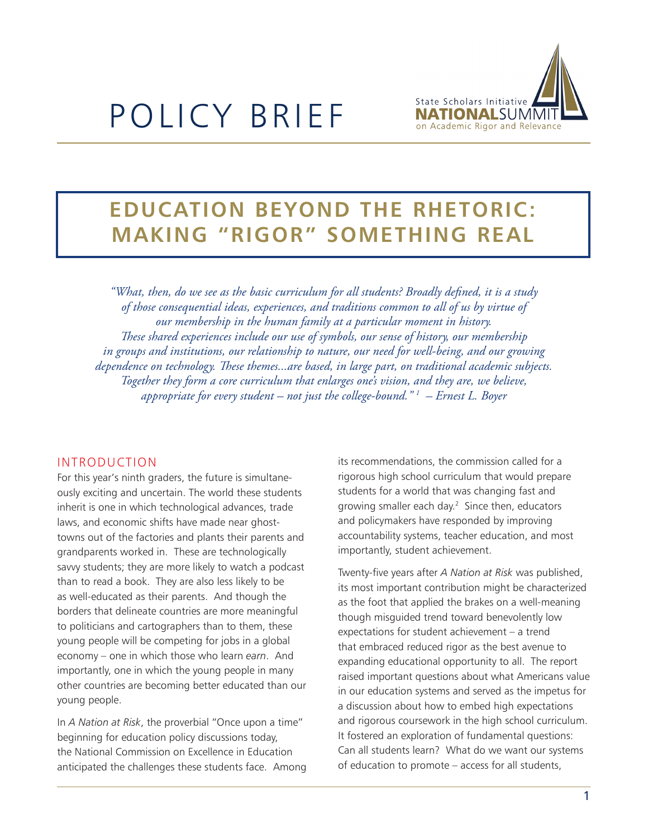

# POLICY BRIEF

# **EDUCATION BEYOND THE RHETORIC: MAKING "RIGOR" SOMETHING REAL**

*"What, then, do we see as the basic curriculum for all students? Broadly defined, it is a study of those consequential ideas, experiences, and traditions common to all of us by virtue of our membership in the human family at a particular moment in history. These shared experiences include our use of symbols, our sense of history, our membership in groups and institutions, our relationship to nature, our need for well-being, and our growing dependence on technology. These themes...are based, in large part, on traditional academic subjects. Together they form a core curriculum that enlarges one's vision, and they are, we believe, appropriate for every student – not just the college-bound." 1 – Ernest L. Boyer*

#### Introduction

For this year's ninth graders, the future is simultaneously exciting and uncertain. The world these students inherit is one in which technological advances, trade laws, and economic shifts have made near ghosttowns out of the factories and plants their parents and grandparents worked in. These are technologically savvy students; they are more likely to watch a podcast than to read a book. They are also less likely to be as well-educated as their parents. And though the borders that delineate countries are more meaningful to politicians and cartographers than to them, these young people will be competing for jobs in a global economy – one in which those who learn *earn*. And importantly, one in which the young people in many other countries are becoming better educated than our young people.

In *A Nation at Risk*, the proverbial "Once upon a time" beginning for education policy discussions today, the National Commission on Excellence in Education anticipated the challenges these students face. Among its recommendations, the commission called for a rigorous high school curriculum that would prepare students for a world that was changing fast and growing smaller each day.<sup>2</sup> Since then, educators and policymakers have responded by improving accountability systems, teacher education, and most importantly, student achievement.

Twenty-five years after *A Nation at Risk* was published, its most important contribution might be characterized as the foot that applied the brakes on a well-meaning though misguided trend toward benevolently low expectations for student achievement – a trend that embraced reduced rigor as the best avenue to expanding educational opportunity to all. The report raised important questions about what Americans value in our education systems and served as the impetus for a discussion about how to embed high expectations and rigorous coursework in the high school curriculum. It fostered an exploration of fundamental questions: Can all students learn? What do we want our systems of education to promote – access for all students,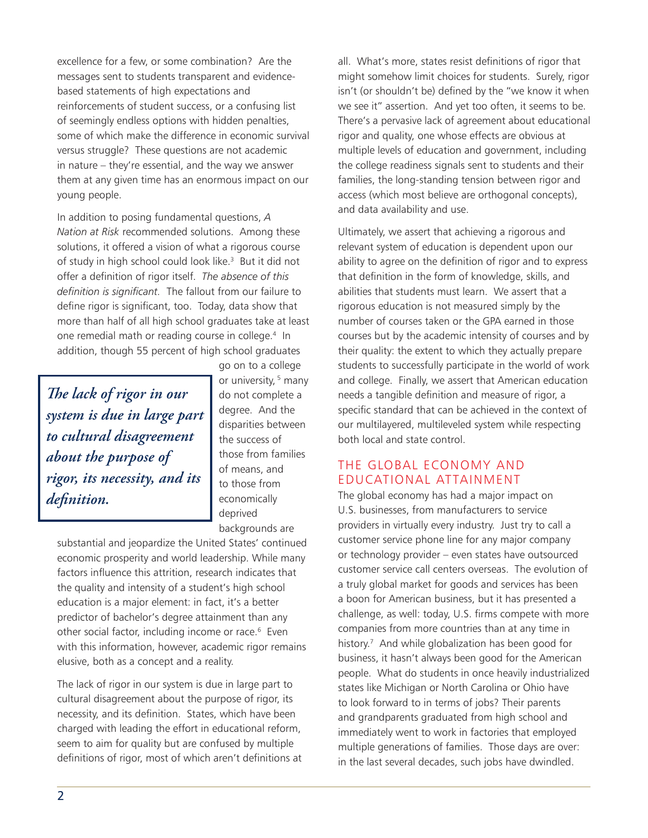excellence for a few, or some combination? Are the messages sent to students transparent and evidencebased statements of high expectations and reinforcements of student success, or a confusing list of seemingly endless options with hidden penalties, some of which make the difference in economic survival versus struggle? These questions are not academic in nature – they're essential, and the way we answer them at any given time has an enormous impact on our young people.

In addition to posing fundamental questions, *A Nation at Risk* recommended solutions. Among these solutions, it offered a vision of what a rigorous course of study in high school could look like.<sup>3</sup> But it did not offer a definition of rigor itself. *The absence of this definition is significant.* The fallout from our failure to define rigor is significant, too. Today, data show that more than half of all high school graduates take at least one remedial math or reading course in college.4 In addition, though 55 percent of high school graduates

*The lack of rigor in our system is due in large part to cultural disagreement about the purpose of rigor, its necessity, and its definition.*

go on to a college or university, <sup>5</sup> many do not complete a degree. And the disparities between the success of those from families of means, and to those from economically deprived backgrounds are

substantial and jeopardize the United States' continued economic prosperity and world leadership. While many factors influence this attrition, research indicates that the quality and intensity of a student's high school education is a major element: in fact, it's a better predictor of bachelor's degree attainment than any other social factor, including income or race.<sup>6</sup> Even with this information, however, academic rigor remains elusive, both as a concept and a reality.

The lack of rigor in our system is due in large part to cultural disagreement about the purpose of rigor, its necessity, and its definition. States, which have been charged with leading the effort in educational reform, seem to aim for quality but are confused by multiple definitions of rigor, most of which aren't definitions at all. What's more, states resist definitions of rigor that might somehow limit choices for students. Surely, rigor isn't (or shouldn't be) defined by the "we know it when we see it" assertion. And yet too often, it seems to be. There's a pervasive lack of agreement about educational rigor and quality, one whose effects are obvious at multiple levels of education and government, including the college readiness signals sent to students and their families, the long-standing tension between rigor and access (which most believe are orthogonal concepts), and data availability and use.

Ultimately, we assert that achieving a rigorous and relevant system of education is dependent upon our ability to agree on the definition of rigor and to express that definition in the form of knowledge, skills, and abilities that students must learn. We assert that a rigorous education is not measured simply by the number of courses taken or the GPA earned in those courses but by the academic intensity of courses and by their quality: the extent to which they actually prepare students to successfully participate in the world of work and college. Finally, we assert that American education needs a tangible definition and measure of rigor, a specific standard that can be achieved in the context of our multilayered, multileveled system while respecting both local and state control.

# The Global Economy and Educational Attainment

The global economy has had a major impact on U.S. businesses, from manufacturers to service providers in virtually every industry. Just try to call a customer service phone line for any major company or technology provider – even states have outsourced customer service call centers overseas. The evolution of a truly global market for goods and services has been a boon for American business, but it has presented a challenge, as well: today, U.S. firms compete with more companies from more countries than at any time in history.7 And while globalization has been good for business, it hasn't always been good for the American people. What do students in once heavily industrialized states like Michigan or North Carolina or Ohio have to look forward to in terms of jobs? Their parents and grandparents graduated from high school and immediately went to work in factories that employed multiple generations of families. Those days are over: in the last several decades, such jobs have dwindled.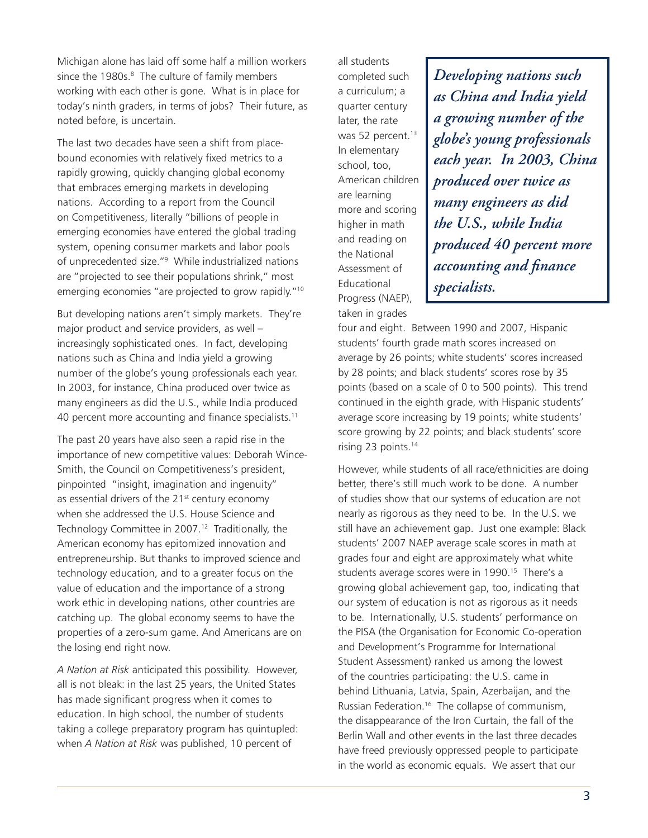Michigan alone has laid off some half a million workers since the 1980s.<sup>8</sup> The culture of family members working with each other is gone. What is in place for today's ninth graders, in terms of jobs? Their future, as noted before, is uncertain.

The last two decades have seen a shift from placebound economies with relatively fixed metrics to a rapidly growing, quickly changing global economy that embraces emerging markets in developing nations. According to a report from the Council on Competitiveness, literally "billions of people in emerging economies have entered the global trading system, opening consumer markets and labor pools of unprecedented size."9 While industrialized nations are "projected to see their populations shrink," most emerging economies "are projected to grow rapidly."10

But developing nations aren't simply markets. They're major product and service providers, as well – increasingly sophisticated ones. In fact, developing nations such as China and India yield a growing number of the globe's young professionals each year. In 2003, for instance, China produced over twice as many engineers as did the U.S., while India produced 40 percent more accounting and finance specialists.<sup>11</sup>

The past 20 years have also seen a rapid rise in the importance of new competitive values: Deborah Wince-Smith, the Council on Competitiveness's president, pinpointed "insight, imagination and ingenuity" as essential drivers of the  $21<sup>st</sup>$  century economy when she addressed the U.S. House Science and Technology Committee in 2007.<sup>12</sup> Traditionally, the American economy has epitomized innovation and entrepreneurship. But thanks to improved science and technology education, and to a greater focus on the value of education and the importance of a strong work ethic in developing nations, other countries are catching up. The global economy seems to have the properties of a zero-sum game. And Americans are on the losing end right now.

*A Nation at Risk* anticipated this possibility. However, all is not bleak: in the last 25 years, the United States has made significant progress when it comes to education. In high school, the number of students taking a college preparatory program has quintupled: when *A Nation at Risk* was published, 10 percent of

all students completed such a curriculum; a quarter century later, the rate was 52 percent.<sup>13</sup> In elementary school, too, American children are learning more and scoring higher in math and reading on the National Assessment of Educational Progress (NAEP), taken in grades

*Developing nations such as China and India yield a growing number of the globe's young professionals each year. In 2003, China produced over twice as many engineers as did the U.S., while India produced 40 percent more accounting and finance specialists.*

four and eight. Between 1990 and 2007, Hispanic students' fourth grade math scores increased on average by 26 points; white students' scores increased by 28 points; and black students' scores rose by 35 points (based on a scale of 0 to 500 points). This trend continued in the eighth grade, with Hispanic students' average score increasing by 19 points; white students' score growing by 22 points; and black students' score rising 23 points.14

However, while students of all race/ethnicities are doing better, there's still much work to be done. A number of studies show that our systems of education are not nearly as rigorous as they need to be. In the U.S. we still have an achievement gap. Just one example: Black students' 2007 NAEP average scale scores in math at grades four and eight are approximately what white students average scores were in 1990.<sup>15</sup> There's a growing global achievement gap, too, indicating that our system of education is not as rigorous as it needs to be. Internationally, U.S. students' performance on the PISA (the Organisation for Economic Co-operation and Development's Programme for International Student Assessment) ranked us among the lowest of the countries participating: the U.S. came in behind Lithuania, Latvia, Spain, Azerbaijan, and the Russian Federation.16 The collapse of communism, the disappearance of the Iron Curtain, the fall of the Berlin Wall and other events in the last three decades have freed previously oppressed people to participate in the world as economic equals. We assert that our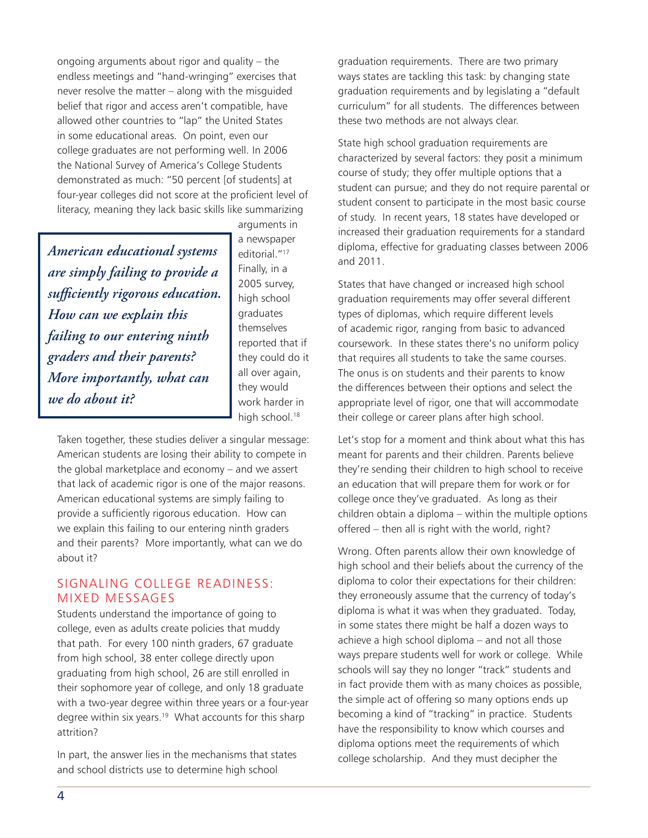ongoing arguments about rigor and quality – the endless meetings and "hand-wringing" exercises that never resolve the matter – along with the misguided belief that rigor and access aren't compatible, have allowed other countries to "lap" the United States in some educational areas. On point, even our college graduates are not performing well. In 2006 the National Survey of America's College Students demonstrated as much: "50 percent [of students] at four-year colleges did not score at the proficient level of literacy, meaning they lack basic skills like summarizing

*American educational systems are simply failing to provide a sufficiently rigorous education. How can we explain this failing to our entering ninth graders and their parents? More importantly, what can we do about it?*

arguments in a newspaper editorial."17 Finally, in a 2005 survey, high school graduates themselves reported that if they could do it all over again, they would work harder in high school.<sup>18</sup>

Taken together, these studies deliver a singular message: American students are losing their ability to compete in the global marketplace and economy – and we assert that lack of academic rigor is one of the major reasons. American educational systems are simply failing to provide a sufficiently rigorous education. How can we explain this failing to our entering ninth graders and their parents? More importantly, what can we do about it?

#### Signaling College Readiness: Mixed Messages

Students understand the importance of going to college, even as adults create policies that muddy that path. For every 100 ninth graders, 67 graduate from high school, 38 enter college directly upon graduating from high school, 26 are still enrolled in their sophomore year of college, and only 18 graduate with a two-year degree within three years or a four-year degree within six years.<sup>19</sup> What accounts for this sharp attrition?

In part, the answer lies in the mechanisms that states and school districts use to determine high school

graduation requirements. There are two primary ways states are tackling this task: by changing state graduation requirements and by legislating a "default curriculum" for all students. The differences between these two methods are not always clear.

State high school graduation requirements are characterized by several factors: they posit a minimum course of study; they offer multiple options that a student can pursue; and they do not require parental or student consent to participate in the most basic course of study. In recent years, 18 states have developed or increased their graduation requirements for a standard diploma, effective for graduating classes between 2006 and 2011.

States that have changed or increased high school graduation requirements may offer several different types of diplomas, which require different levels of academic rigor, ranging from basic to advanced coursework. In these states there's no uniform policy that requires all students to take the same courses. The onus is on students and their parents to know the differences between their options and select the appropriate level of rigor, one that will accommodate their college or career plans after high school.

Let's stop for a moment and think about what this has meant for parents and their children. Parents believe they're sending their children to high school to receive an education that will prepare them for work or for college once they've graduated. As long as their children obtain a diploma – within the multiple options offered – then all is right with the world, right?

Wrong. Often parents allow their own knowledge of high school and their beliefs about the currency of the diploma to color their expectations for their children: they erroneously assume that the currency of today's diploma is what it was when they graduated. Today, in some states there might be half a dozen ways to achieve a high school diploma – and not all those ways prepare students well for work or college. While schools will say they no longer "track" students and in fact provide them with as many choices as possible, the simple act of offering so many options ends up becoming a kind of "tracking" in practice. Students have the responsibility to know which courses and diploma options meet the requirements of which college scholarship. And they must decipher the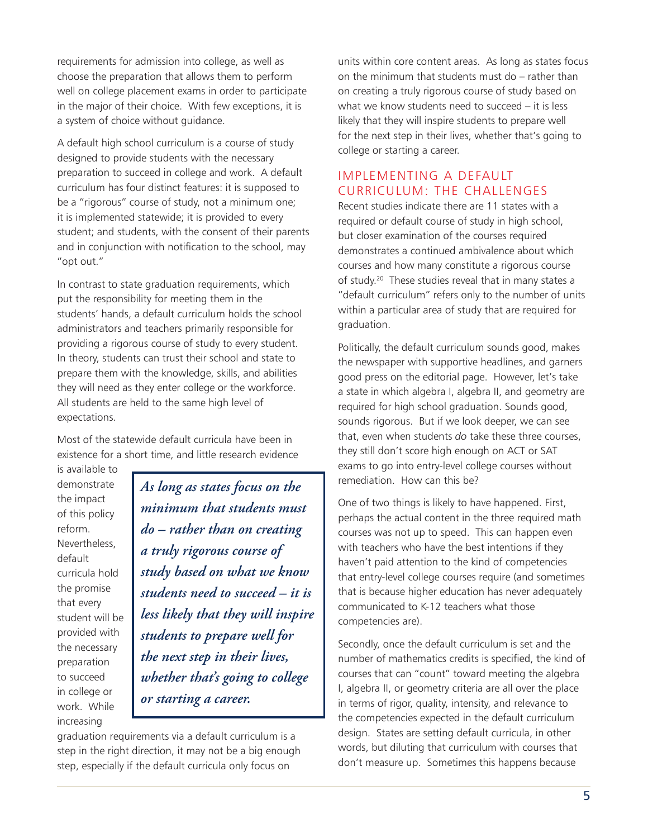requirements for admission into college, as well as choose the preparation that allows them to perform well on college placement exams in order to participate in the major of their choice. With few exceptions, it is a system of choice without guidance.

A default high school curriculum is a course of study designed to provide students with the necessary preparation to succeed in college and work. A default curriculum has four distinct features: it is supposed to be a "rigorous" course of study, not a minimum one; it is implemented statewide; it is provided to every student; and students, with the consent of their parents and in conjunction with notification to the school, may "opt out."

In contrast to state graduation requirements, which put the responsibility for meeting them in the students' hands, a default curriculum holds the school administrators and teachers primarily responsible for providing a rigorous course of study to every student. In theory, students can trust their school and state to prepare them with the knowledge, skills, and abilities they will need as they enter college or the workforce. All students are held to the same high level of expectations.

Most of the statewide default curricula have been in existence for a short time, and little research evidence

is available to demonstrate the impact of this policy reform. Nevertheless, default curricula hold the promise that every student will be provided with the necessary preparation to succeed in college or work. While increasing

*As long as states focus on the minimum that students must do – rather than on creating a truly rigorous course of study based on what we know students need to succeed – it is less likely that they will inspire students to prepare well for the next step in their lives, whether that's going to college or starting a career.*

graduation requirements via a default curriculum is a step in the right direction, it may not be a big enough step, especially if the default curricula only focus on

units within core content areas. As long as states focus on the minimum that students must do – rather than on creating a truly rigorous course of study based on what we know students need to succeed – it is less likely that they will inspire students to prepare well for the next step in their lives, whether that's going to college or starting a career.

# Implementing a Default Curriculum: The Challenges

Recent studies indicate there are 11 states with a required or default course of study in high school, but closer examination of the courses required demonstrates a continued ambivalence about which courses and how many constitute a rigorous course of study.<sup>20</sup> These studies reveal that in many states a "default curriculum" refers only to the number of units within a particular area of study that are required for graduation.

Politically, the default curriculum sounds good, makes the newspaper with supportive headlines, and garners good press on the editorial page. However, let's take a state in which algebra I, algebra II, and geometry are required for high school graduation. Sounds good, sounds rigorous. But if we look deeper, we can see that, even when students *do* take these three courses, they still don't score high enough on ACT or SAT exams to go into entry-level college courses without remediation. How can this be?

One of two things is likely to have happened. First, perhaps the actual content in the three required math courses was not up to speed. This can happen even with teachers who have the best intentions if they haven't paid attention to the kind of competencies that entry-level college courses require (and sometimes that is because higher education has never adequately communicated to K-12 teachers what those competencies are).

Secondly, once the default curriculum is set and the number of mathematics credits is specified, the kind of courses that can "count" toward meeting the algebra I, algebra II, or geometry criteria are all over the place in terms of rigor, quality, intensity, and relevance to the competencies expected in the default curriculum design. States are setting default curricula, in other words, but diluting that curriculum with courses that don't measure up. Sometimes this happens because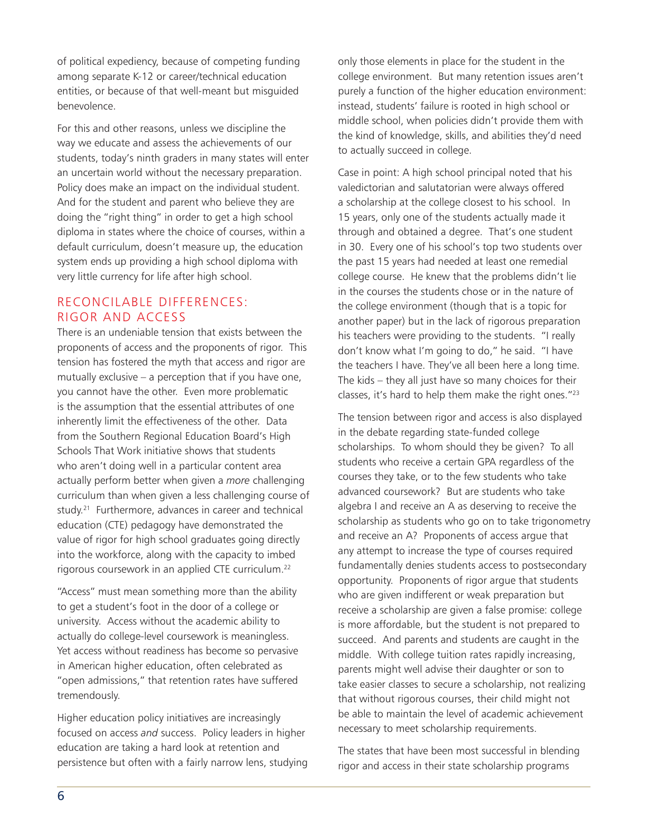of political expediency, because of competing funding among separate K-12 or career/technical education entities, or because of that well-meant but misguided benevolence.

For this and other reasons, unless we discipline the way we educate and assess the achievements of our students, today's ninth graders in many states will enter an uncertain world without the necessary preparation. Policy does make an impact on the individual student. And for the student and parent who believe they are doing the "right thing" in order to get a high school diploma in states where the choice of courses, within a default curriculum, doesn't measure up, the education system ends up providing a high school diploma with very little currency for life after high school.

#### Reconcilable Differences: Rigor and Access

There is an undeniable tension that exists between the proponents of access and the proponents of rigor. This tension has fostered the myth that access and rigor are mutually exclusive – a perception that if you have one, you cannot have the other. Even more problematic is the assumption that the essential attributes of one inherently limit the effectiveness of the other. Data from the Southern Regional Education Board's High Schools That Work initiative shows that students who aren't doing well in a particular content area actually perform better when given a *more* challenging curriculum than when given a less challenging course of study.21 Furthermore, advances in career and technical education (CTE) pedagogy have demonstrated the value of rigor for high school graduates going directly into the workforce, along with the capacity to imbed rigorous coursework in an applied CTE curriculum.22

"Access" must mean something more than the ability to get a student's foot in the door of a college or university. Access without the academic ability to actually do college-level coursework is meaningless. Yet access without readiness has become so pervasive in American higher education, often celebrated as "open admissions," that retention rates have suffered tremendously.

Higher education policy initiatives are increasingly focused on access *and* success. Policy leaders in higher education are taking a hard look at retention and persistence but often with a fairly narrow lens, studying

only those elements in place for the student in the college environment. But many retention issues aren't purely a function of the higher education environment: instead, students' failure is rooted in high school or middle school, when policies didn't provide them with the kind of knowledge, skills, and abilities they'd need to actually succeed in college.

Case in point: A high school principal noted that his valedictorian and salutatorian were always offered a scholarship at the college closest to his school. In 15 years, only one of the students actually made it through and obtained a degree. That's one student in 30. Every one of his school's top two students over the past 15 years had needed at least one remedial college course. He knew that the problems didn't lie in the courses the students chose or in the nature of the college environment (though that is a topic for another paper) but in the lack of rigorous preparation his teachers were providing to the students. "I really don't know what I'm going to do," he said. "I have the teachers I have. They've all been here a long time. The kids – they all just have so many choices for their classes, it's hard to help them make the right ones."23

The tension between rigor and access is also displayed in the debate regarding state-funded college scholarships. To whom should they be given? To all students who receive a certain GPA regardless of the courses they take, or to the few students who take advanced coursework? But are students who take algebra I and receive an A as deserving to receive the scholarship as students who go on to take trigonometry and receive an A? Proponents of access argue that any attempt to increase the type of courses required fundamentally denies students access to postsecondary opportunity. Proponents of rigor argue that students who are given indifferent or weak preparation but receive a scholarship are given a false promise: college is more affordable, but the student is not prepared to succeed. And parents and students are caught in the middle. With college tuition rates rapidly increasing, parents might well advise their daughter or son to take easier classes to secure a scholarship, not realizing that without rigorous courses, their child might not be able to maintain the level of academic achievement necessary to meet scholarship requirements.

The states that have been most successful in blending rigor and access in their state scholarship programs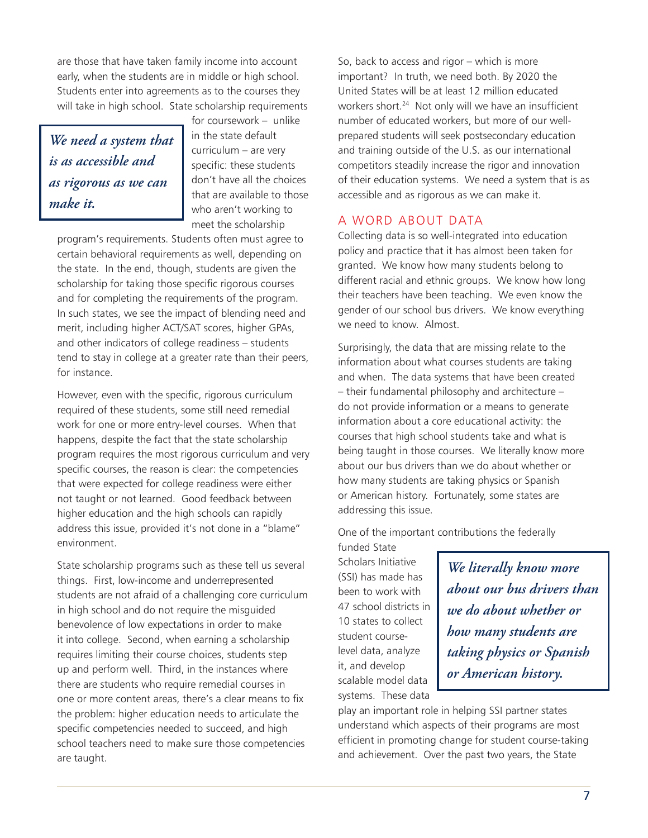are those that have taken family income into account early, when the students are in middle or high school. Students enter into agreements as to the courses they will take in high school. State scholarship requirements

*We need a system that is as accessible and as rigorous as we can make it.* 

for coursework – unlike in the state default curriculum – are very specific: these students don't have all the choices that are available to those who aren't working to meet the scholarship

program's requirements. Students often must agree to certain behavioral requirements as well, depending on the state. In the end, though, students are given the scholarship for taking those specific rigorous courses and for completing the requirements of the program. In such states, we see the impact of blending need and merit, including higher ACT/SAT scores, higher GPAs, and other indicators of college readiness – students tend to stay in college at a greater rate than their peers, for instance.

However, even with the specific, rigorous curriculum required of these students, some still need remedial work for one or more entry-level courses. When that happens, despite the fact that the state scholarship program requires the most rigorous curriculum and very specific courses, the reason is clear: the competencies that were expected for college readiness were either not taught or not learned. Good feedback between higher education and the high schools can rapidly address this issue, provided it's not done in a "blame" environment.

State scholarship programs such as these tell us several things. First, low-income and underrepresented students are not afraid of a challenging core curriculum in high school and do not require the misguided benevolence of low expectations in order to make it into college. Second, when earning a scholarship requires limiting their course choices, students step up and perform well. Third, in the instances where there are students who require remedial courses in one or more content areas, there's a clear means to fix the problem: higher education needs to articulate the specific competencies needed to succeed, and high school teachers need to make sure those competencies are taught.

So, back to access and rigor – which is more important? In truth, we need both. By 2020 the United States will be at least 12 million educated workers short.<sup>24</sup> Not only will we have an insufficient number of educated workers, but more of our wellprepared students will seek postsecondary education and training outside of the U.S. as our international competitors steadily increase the rigor and innovation of their education systems. We need a system that is as accessible and as rigorous as we can make it.

## A Word about Data

Collecting data is so well-integrated into education policy and practice that it has almost been taken for granted. We know how many students belong to different racial and ethnic groups. We know how long their teachers have been teaching. We even know the gender of our school bus drivers. We know everything we need to know. Almost.

Surprisingly, the data that are missing relate to the information about what courses students are taking and when. The data systems that have been created – their fundamental philosophy and architecture – do not provide information or a means to generate information about a core educational activity: the courses that high school students take and what is being taught in those courses. We literally know more about our bus drivers than we do about whether or how many students are taking physics or Spanish or American history. Fortunately, some states are addressing this issue.

One of the important contributions the federally

funded State Scholars Initiative (SSI) has made has been to work with 47 school districts in 10 states to collect student courselevel data, analyze it, and develop scalable model data systems. These data

*We literally know more about our bus drivers than we do about whether or how many students are taking physics or Spanish or American history.*

play an important role in helping SSI partner states understand which aspects of their programs are most efficient in promoting change for student course-taking and achievement. Over the past two years, the State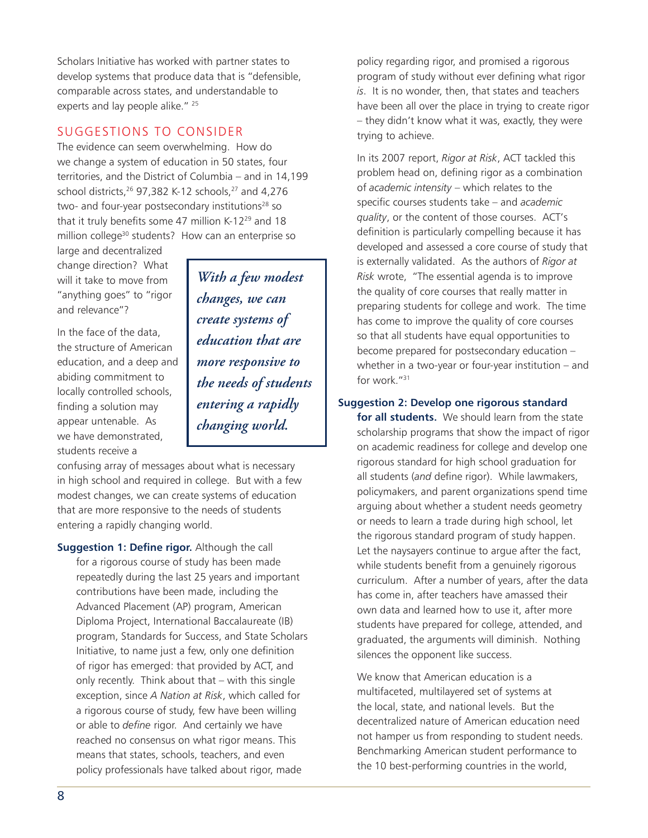Scholars Initiative has worked with partner states to develop systems that produce data that is "defensible, comparable across states, and understandable to experts and lay people alike."<sup>25</sup>

# Suggestions to Consider

The evidence can seem overwhelming. How do we change a system of education in 50 states, four territories, and the District of Columbia – and in 14,199 school districts, $26$  97,382 K-12 schools, $27$  and 4,276 two- and four-year postsecondary institutions<sup>28</sup> so that it truly benefits some 47 million K-12<sup>29</sup> and 18 million college<sup>30</sup> students? How can an enterprise so

large and decentralized change direction? What will it take to move from "anything goes" to "rigor and relevance"?

In the face of the data, the structure of American education, and a deep and abiding commitment to locally controlled schools, finding a solution may appear untenable. As we have demonstrated, students receive a

*With a few modest changes, we can create systems of education that are more responsive to the needs of students entering a rapidly changing world.*

confusing array of messages about what is necessary in high school and required in college. But with a few modest changes, we can create systems of education that are more responsive to the needs of students entering a rapidly changing world.

**Suggestion 1: Define rigor.** Although the call for a rigorous course of study has been made repeatedly during the last 25 years and important contributions have been made, including the Advanced Placement (AP) program, American Diploma Project, International Baccalaureate (IB) program, Standards for Success, and State Scholars Initiative, to name just a few, only one definition of rigor has emerged: that provided by ACT, and only recently. Think about that – with this single exception, since *A Nation at Risk*, which called for a rigorous course of study, few have been willing or able to *define* rigor. And certainly we have reached no consensus on what rigor means. This means that states, schools, teachers, and even policy professionals have talked about rigor, made

policy regarding rigor, and promised a rigorous program of study without ever defining what rigor *is*. It is no wonder, then, that states and teachers have been all over the place in trying to create rigor – they didn't know what it was, exactly, they were trying to achieve.

In its 2007 report, *Rigor at Risk*, ACT tackled this problem head on, defining rigor as a combination of *academic intensity* – which relates to the specific courses students take – and *academic quality*, or the content of those courses. ACT's definition is particularly compelling because it has developed and assessed a core course of study that is externally validated. As the authors of *Rigor at Risk* wrote, "The essential agenda is to improve the quality of core courses that really matter in preparing students for college and work. The time has come to improve the quality of core courses so that all students have equal opportunities to become prepared for postsecondary education – whether in a two-year or four-year institution – and for work."31

#### **Suggestion 2: Develop one rigorous standard**

**for all students.** We should learn from the state scholarship programs that show the impact of rigor on academic readiness for college and develop one rigorous standard for high school graduation for all students (*and* define rigor). While lawmakers, policymakers, and parent organizations spend time arguing about whether a student needs geometry or needs to learn a trade during high school, let the rigorous standard program of study happen. Let the naysayers continue to argue after the fact, while students benefit from a genuinely rigorous curriculum. After a number of years, after the data has come in, after teachers have amassed their own data and learned how to use it, after more students have prepared for college, attended, and graduated, the arguments will diminish. Nothing silences the opponent like success.

We know that American education is a multifaceted, multilayered set of systems at the local, state, and national levels. But the decentralized nature of American education need not hamper us from responding to student needs. Benchmarking American student performance to the 10 best-performing countries in the world,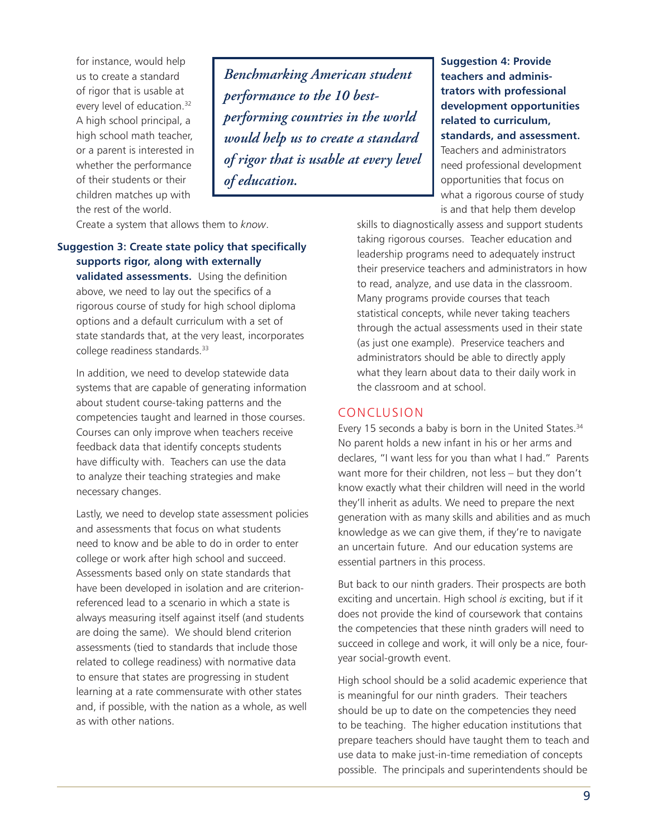for instance, would help us to create a standard of rigor that is usable at every level of education.<sup>32</sup> A high school principal, a high school math teacher, or a parent is interested in whether the performance of their students or their children matches up with the rest of the world.

*Benchmarking American student performance to the 10 bestperforming countries in the world would help us to create a standard of rigor that is usable at every level of education.* 

Create a system that allows them to *know*.

# **Suggestion 3: Create state policy that specifically supports rigor, along with externally**

**validated assessments.** Using the definition above, we need to lay out the specifics of a rigorous course of study for high school diploma options and a default curriculum with a set of state standards that, at the very least, incorporates college readiness standards.33

In addition, we need to develop statewide data systems that are capable of generating information about student course-taking patterns and the competencies taught and learned in those courses. Courses can only improve when teachers receive feedback data that identify concepts students have difficulty with. Teachers can use the data to analyze their teaching strategies and make necessary changes.

Lastly, we need to develop state assessment policies and assessments that focus on what students need to know and be able to do in order to enter college or work after high school and succeed. Assessments based only on state standards that have been developed in isolation and are criterionreferenced lead to a scenario in which a state is always measuring itself against itself (and students are doing the same). We should blend criterion assessments (tied to standards that include those related to college readiness) with normative data to ensure that states are progressing in student learning at a rate commensurate with other states and, if possible, with the nation as a whole, as well as with other nations.

**Suggestion 4: Provide teachers and administrators with professional development opportunities related to curriculum, standards, and assessment.**  Teachers and administrators need professional development opportunities that focus on what a rigorous course of study is and that help them develop

skills to diagnostically assess and support students taking rigorous courses. Teacher education and leadership programs need to adequately instruct their preservice teachers and administrators in how to read, analyze, and use data in the classroom. Many programs provide courses that teach statistical concepts, while never taking teachers through the actual assessments used in their state (as just one example). Preservice teachers and administrators should be able to directly apply what they learn about data to their daily work in the classroom and at school.

#### Conclusion

Every 15 seconds a baby is born in the United States.<sup>34</sup> No parent holds a new infant in his or her arms and declares, "I want less for you than what I had." Parents want more for their children, not less – but they don't know exactly what their children will need in the world they'll inherit as adults. We need to prepare the next generation with as many skills and abilities and as much knowledge as we can give them, if they're to navigate an uncertain future. And our education systems are essential partners in this process.

But back to our ninth graders. Their prospects are both exciting and uncertain. High school *is* exciting, but if it does not provide the kind of coursework that contains the competencies that these ninth graders will need to succeed in college and work, it will only be a nice, fouryear social-growth event.

High school should be a solid academic experience that is meaningful for our ninth graders. Their teachers should be up to date on the competencies they need to be teaching. The higher education institutions that prepare teachers should have taught them to teach and use data to make just-in-time remediation of concepts possible. The principals and superintendents should be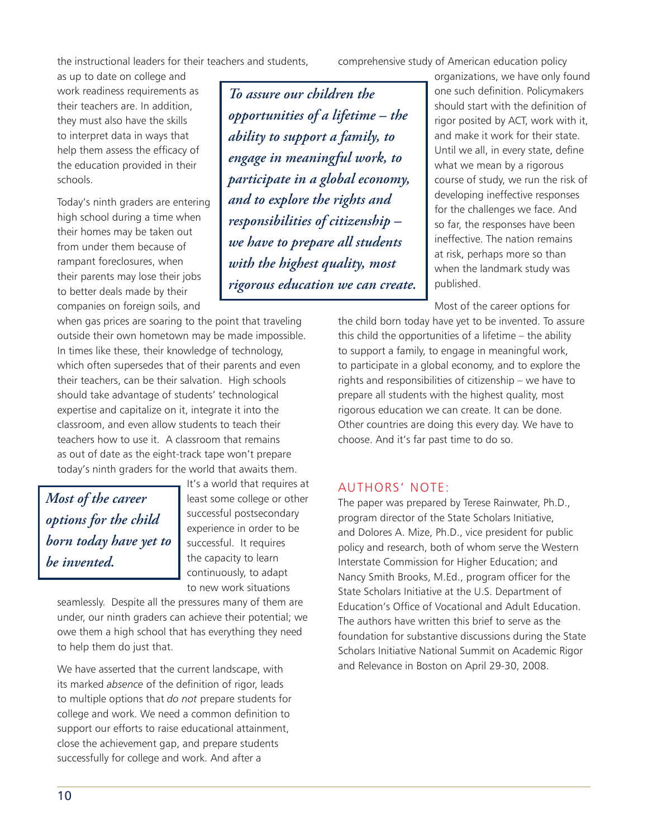the instructional leaders for their teachers and students,

as up to date on college and work readiness requirements as their teachers are. In addition, they must also have the skills to interpret data in ways that help them assess the efficacy of the education provided in their schools.

Today's ninth graders are entering high school during a time when their homes may be taken out from under them because of rampant foreclosures, when their parents may lose their jobs to better deals made by their companies on foreign soils, and

when gas prices are soaring to the point that traveling outside their own hometown may be made impossible. In times like these, their knowledge of technology, which often supersedes that of their parents and even their teachers, can be their salvation. High schools should take advantage of students' technological expertise and capitalize on it, integrate it into the classroom, and even allow students to teach their teachers how to use it. A classroom that remains as out of date as the eight-track tape won't prepare today's ninth graders for the world that awaits them.

*Most of the career options for the child born today have yet to be invented.*

It's a world that requires at least some college or other successful postsecondary experience in order to be successful. It requires the capacity to learn continuously, to adapt to new work situations

seamlessly. Despite all the pressures many of them are under, our ninth graders can achieve their potential; we owe them a high school that has everything they need to help them do just that.

We have asserted that the current landscape, with its marked *absence* of the definition of rigor, leads to multiple options that *do not* prepare students for college and work. We need a common definition to support our efforts to raise educational attainment, close the achievement gap, and prepare students successfully for college and work. And after a

*To assure our children the opportunities of a lifetime – the ability to support a family, to engage in meaningful work, to participate in a global economy, and to explore the rights and responsibilities of citizenship – we have to prepare all students with the highest quality, most rigorous education we can create.*

comprehensive study of American education policy

organizations, we have only found one such definition. Policymakers should start with the definition of rigor posited by ACT, work with it, and make it work for their state. Until we all, in every state, define what we mean by a rigorous course of study, we run the risk of developing ineffective responses for the challenges we face. And so far, the responses have been ineffective. The nation remains at risk, perhaps more so than when the landmark study was published.

Most of the career options for

the child born today have yet to be invented. To assure this child the opportunities of a lifetime – the ability to support a family, to engage in meaningful work, to participate in a global economy, and to explore the rights and responsibilities of citizenship – we have to prepare all students with the highest quality, most rigorous education we can create. It can be done. Other countries are doing this every day. We have to choose. And it's far past time to do so.

#### Authors' Note:

The paper was prepared by Terese Rainwater, Ph.D., program director of the State Scholars Initiative, and Dolores A. Mize, Ph.D., vice president for public policy and research, both of whom serve the Western Interstate Commission for Higher Education; and Nancy Smith Brooks, M.Ed., program officer for the State Scholars Initiative at the U.S. Department of Education's Office of Vocational and Adult Education. The authors have written this brief to serve as the foundation for substantive discussions during the State Scholars Initiative National Summit on Academic Rigor and Relevance in Boston on April 29-30, 2008.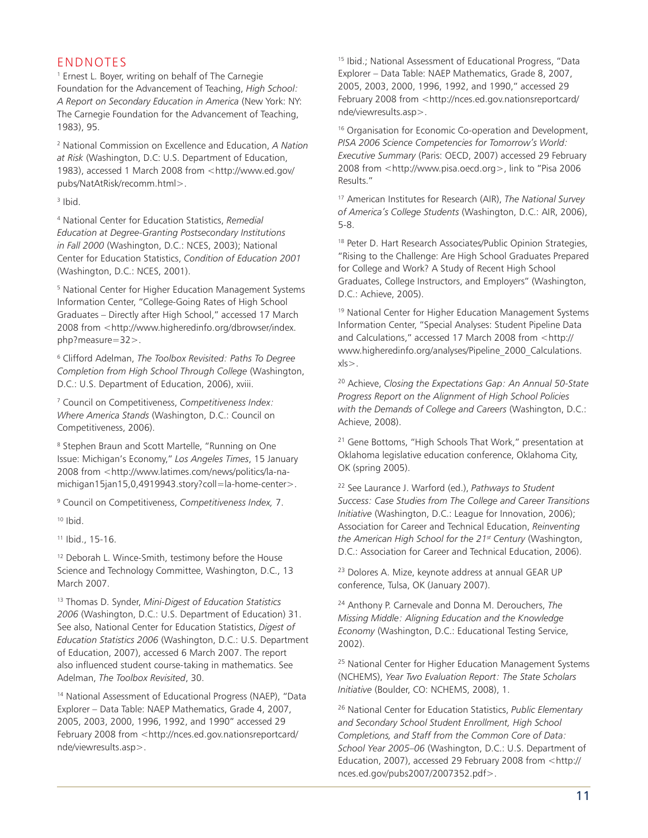## **FNDNOTES**

1 Ernest L. Boyer, writing on behalf of The Carnegie Foundation for the Advancement of Teaching, *High School: A Report on Secondary Education in America* (New York: NY: The Carnegie Foundation for the Advancement of Teaching, 1983), 95.

<sup>2</sup> National Commission on Excellence and Education, *A Nation at Risk* (Washington, D.C: U.S. Department of Education, 1983), accessed 1 March 2008 from <http://www.ed.gov/ pubs/NatAtRisk/recomm.html>.

3 Ibid.

<sup>4</sup> National Center for Education Statistics, *Remedial Education at Degree-Granting Postsecondary Institutions in Fall 2000* (Washington, D.C.: NCES, 2003); National Center for Education Statistics, *Condition of Education 2001* (Washington, D.C.: NCES, 2001).

<sup>5</sup> National Center for Higher Education Management Systems Information Center, "College-Going Rates of High School Graduates – Directly after High School," accessed 17 March 2008 from <http://www.higheredinfo.org/dbrowser/index. php?measure=32>.

6 Clifford Adelman, *The Toolbox Revisited: Paths To Degree Completion from High School Through College* (Washington, D.C.: U.S. Department of Education, 2006), xviii.

7 Council on Competitiveness, *Competitiveness Index: Where America Stands* (Washington, D.C.: Council on Competitiveness, 2006).

<sup>8</sup> Stephen Braun and Scott Martelle, "Running on One Issue: Michigan's Economy," *Los Angeles Times*, 15 January 2008 from <http://www.latimes.com/news/politics/la-namichigan15jan15,0,4919943.story?coll=la-home-center>.

9 Council on Competitiveness, *Competitiveness Index,* 7.

 $10$  Ibid.

11 Ibid., 15-16.

<sup>12</sup> Deborah L. Wince-Smith, testimony before the House Science and Technology Committee, Washington, D.C., 13 March 2007.

<sup>13</sup> Thomas D. Synder, *Mini-Digest of Education Statistics 2006* (Washington, D.C.: U.S. Department of Education) 31. See also, National Center for Education Statistics, *Digest of Education Statistics 2006* (Washington, D.C.: U.S. Department of Education, 2007), accessed 6 March 2007. The report also influenced student course-taking in mathematics. See Adelman, *The Toolbox Revisited*, 30.

<sup>14</sup> National Assessment of Educational Progress (NAEP), "Data Explorer – Data Table: NAEP Mathematics, Grade 4, 2007, 2005, 2003, 2000, 1996, 1992, and 1990" accessed 29 February 2008 from <http://nces.ed.gov.nationsreportcard/ nde/viewresults.asp>.

15 Ibid.; National Assessment of Educational Progress, "Data Explorer – Data Table: NAEP Mathematics, Grade 8, 2007, 2005, 2003, 2000, 1996, 1992, and 1990," accessed 29 February 2008 from <http://nces.ed.gov.nationsreportcard/ nde/viewresults.asp>.

<sup>16</sup> Organisation for Economic Co-operation and Development, *PISA 2006 Science Competencies for Tomorrow's World: Executive Summary* (Paris: OECD, 2007) accessed 29 February 2008 from <http://www.pisa.oecd.org>, link to "Pisa 2006 Results."

17 American Institutes for Research (AIR), *The National Survey of America's College Students* (Washington, D.C.: AIR, 2006), 5-8.

<sup>18</sup> Peter D. Hart Research Associates/Public Opinion Strategies, "Rising to the Challenge: Are High School Graduates Prepared for College and Work? A Study of Recent High School Graduates, College Instructors, and Employers" (Washington, D.C.: Achieve, 2005).

<sup>19</sup> National Center for Higher Education Management Systems Information Center, "Special Analyses: Student Pipeline Data and Calculations," accessed 17 March 2008 from <http:// www.higheredinfo.org/analyses/Pipeline\_2000\_Calculations. xls>.

20 Achieve, *Closing the Expectations Gap: An Annual 50-State Progress Report on the Alignment of High School Policies with the Demands of College and Careers* (Washington, D.C.: Achieve, 2008).

<sup>21</sup> Gene Bottoms, "High Schools That Work," presentation at Oklahoma legislative education conference, Oklahoma City, OK (spring 2005).

22 See Laurance J. Warford (ed.), *Pathways to Student Success: Case Studies from The College and Career Transitions Initiative* (Washington, D.C.: League for Innovation, 2006); Association for Career and Technical Education, *Reinventing the American High School for the 21st Century* (Washington, D.C.: Association for Career and Technical Education, 2006).

<sup>23</sup> Dolores A. Mize, keynote address at annual GEAR UP conference, Tulsa, OK (January 2007).

24 Anthony P. Carnevale and Donna M. Derouchers, *The Missing Middle: Aligning Education and the Knowledge Economy* (Washington, D.C.: Educational Testing Service, 2002).

<sup>25</sup> National Center for Higher Education Management Systems (NCHEMS), *Year Two Evaluation Report: The State Scholars Initiative* (Boulder, CO: NCHEMS, 2008), 1.

<sup>26</sup> National Center for Education Statistics, *Public Elementary and Secondary School Student Enrollment, High School Completions, and Staff from the Common Core of Data: School Year 2005–06* (Washington, D.C.: U.S. Department of Education, 2007), accessed 29 February 2008 from <http:// nces.ed.gov/pubs2007/2007352.pdf>.